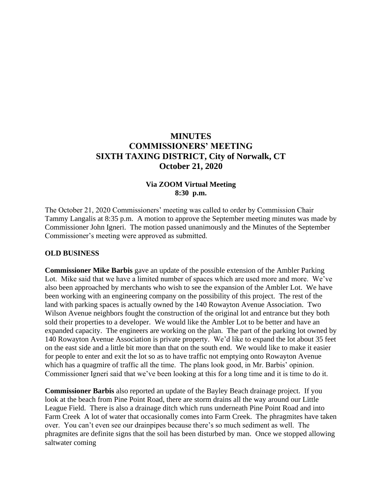# **MINUTES COMMISSIONERS' MEETING SIXTH TAXING DISTRICT, City of Norwalk, CT October 21, 2020**

#### **Via ZOOM Virtual Meeting 8:30 p.m.**

The October 21, 2020 Commissioners' meeting was called to order by Commission Chair Tammy Langalis at 8:35 p.m. A motion to approve the September meeting minutes was made by Commissioner John Igneri. The motion passed unanimously and the Minutes of the September Commissioner's meeting were approved as submitted.

#### **OLD BUSINESS**

**Commissioner Mike Barbis** gave an update of the possible extension of the Ambler Parking Lot. Mike said that we have a limited number of spaces which are used more and more. We've also been approached by merchants who wish to see the expansion of the Ambler Lot. We have been working with an engineering company on the possibility of this project. The rest of the land with parking spaces is actually owned by the 140 Rowayton Avenue Association. Two Wilson Avenue neighbors fought the construction of the original lot and entrance but they both sold their properties to a developer. We would like the Ambler Lot to be better and have an expanded capacity. The engineers are working on the plan. The part of the parking lot owned by 140 Rowayton Avenue Association is private property. We'd like to expand the lot about 35 feet on the east side and a little bit more than that on the south end. We would like to make it easier for people to enter and exit the lot so as to have traffic not emptying onto Rowayton Avenue which has a quagmire of traffic all the time. The plans look good, in Mr. Barbis' opinion. Commissioner Igneri said that we've been looking at this for a long time and it is time to do it.

**Commissioner Barbis** also reported an update of the Bayley Beach drainage project. If you look at the beach from Pine Point Road, there are storm drains all the way around our Little League Field. There is also a drainage ditch which runs underneath Pine Point Road and into Farm Creek A lot of water that occasionally comes into Farm Creek. The phragmites have taken over. You can't even see our drainpipes because there's so much sediment as well. The phragmites are definite signs that the soil has been disturbed by man. Once we stopped allowing saltwater coming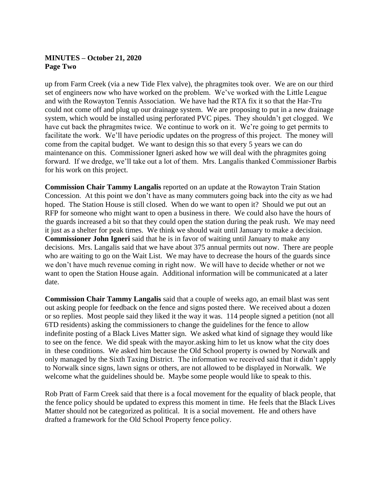# **MINUTES – October 21, 2020 Page Two**

up from Farm Creek (via a new Tide Flex valve), the phragmites took over. We are on our third set of engineers now who have worked on the problem. We've worked with the Little League and with the Rowayton Tennis Association. We have had the RTA fix it so that the Har-Tru could not come off and plug up our drainage system. We are proposing to put in a new drainage system, which would be installed using perforated PVC pipes. They shouldn't get clogged. We have cut back the phragmites twice. We continue to work on it. We're going to get permits to facilitate the work. We'll have periodic updates on the progress of this project. The money will come from the capital budget. We want to design this so that every 5 years we can do maintenance on this. Commissioner Igneri asked how we will deal with the phragmites going forward. If we dredge, we'll take out a lot of them. Mrs. Langalis thanked Commissioner Barbis for his work on this project.

**Commission Chair Tammy Langalis** reported on an update at the Rowayton Train Station Concession. At this point we don't have as many commuters going back into the city as we had hoped. The Station House is still closed. When do we want to open it? Should we put out an RFP for someone who might want to open a business in there. We could also have the hours of the guards increased a bit so that they could open the station during the peak rush. We may need it just as a shelter for peak times. We think we should wait until January to make a decision. **Commissioner John Igneri** said that he is in favor of waiting until January to make any decisions. Mrs. Langalis said that we have about 375 annual permits out now. There are people who are waiting to go on the Wait List. We may have to decrease the hours of the guards since we don't have much revenue coming in right now. We will have to decide whether or not we want to open the Station House again. Additional information will be communicated at a later date.

**Commission Chair Tammy Langalis** said that a couple of weeks ago, an email blast was sent out asking people for feedback on the fence and signs posted there. We received about a dozen or so replies. Most people said they liked it the way it was. 114 people signed a petition (not all 6TD residents) asking the commissioners to change the guidelines for the fence to allow indefinite posting of a Black Lives Matter sign. We asked what kind of signage they would like to see on the fence. We did speak with the mayor.asking him to let us know what the city does in these conditions. We asked him because the Old School property is owned by Norwalk and only managed by the Sixth Taxing District. The information we received said that it didn't apply to Norwalk since signs, lawn signs or others, are not allowed to be displayed in Norwalk. We welcome what the guidelines should be. Maybe some people would like to speak to this.

Rob Pratt of Farm Creek said that there is a focal movement for the equality of black people, that the fence policy should be updated to express this moment in time. He feels that the Black Lives Matter should not be categorized as political. It is a social movement. He and others have drafted a framework for the Old School Property fence policy.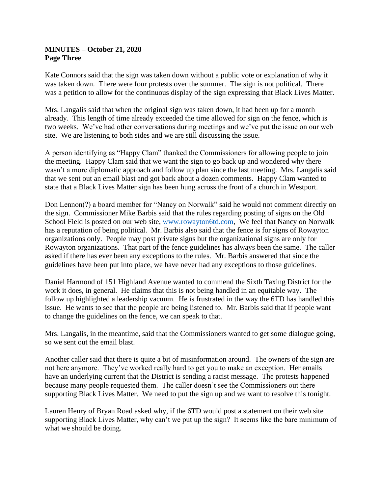### **MINUTES – October 21, 2020 Page Three**

Kate Connors said that the sign was taken down without a public vote or explanation of why it was taken down. There were four protests over the summer. The sign is not political. There was a petition to allow for the continuous display of the sign expressing that Black Lives Matter.

Mrs. Langalis said that when the original sign was taken down, it had been up for a month already. This length of time already exceeded the time allowed for sign on the fence, which is two weeks. We've had other conversations during meetings and we've put the issue on our web site. We are listening to both sides and we are still discussing the issue.

A person identifying as "Happy Clam" thanked the Commissioners for allowing people to join the meeting. Happy Clam said that we want the sign to go back up and wondered why there wasn't a more diplomatic approach and follow up plan since the last meeting. Mrs. Langalis said that we sent out an email blast and got back about a dozen comments. Happy Clam wanted to state that a Black Lives Matter sign has been hung across the front of a church in Westport.

Don Lennon(?) a board member for "Nancy on Norwalk" said he would not comment directly on the sign. Commissioner Mike Barbis said that the rules regarding posting of signs on the Old School Field is posted on our web site, [www.rowayton6td.com,](http://www.rowayton6td.com/) We feel that Nancy on Norwalk has a reputation of being political. Mr. Barbis also said that the fence is for signs of Rowayton organizations only. People may post private signs but the organizational signs are only for Rowayton organizations. That part of the fence guidelines has always been the same. The caller asked if there has ever been any exceptions to the rules. Mr. Barbis answered that since the guidelines have been put into place, we have never had any exceptions to those guidelines.

Daniel Harmond of 151 Highland Avenue wanted to commend the Sixth Taxing District for the work it does, in general. He claims that this is not being handled in an equitable way. The follow up highlighted a leadership vacuum. He is frustrated in the way the 6TD has handled this issue. He wants to see that the people are being listened to. Mr. Barbis said that if people want to change the guidelines on the fence, we can speak to that.

Mrs. Langalis, in the meantime, said that the Commissioners wanted to get some dialogue going, so we sent out the email blast.

Another caller said that there is quite a bit of misinformation around. The owners of the sign are not here anymore. They've worked really hard to get you to make an exception. Her emails have an underlying current that the District is sending a racist message. The protests happened because many people requested them. The caller doesn't see the Commissioners out there supporting Black Lives Matter. We need to put the sign up and we want to resolve this tonight.

Lauren Henry of Bryan Road asked why, if the 6TD would post a statement on their web site supporting Black Lives Matter, why can't we put up the sign? It seems like the bare minimum of what we should be doing.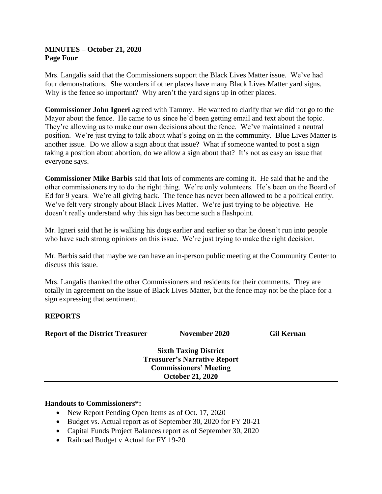### **MINUTES – October 21, 2020 Page Four**

Mrs. Langalis said that the Commissioners support the Black Lives Matter issue. We've had four demonstrations. She wonders if other places have many Black Lives Matter yard signs. Why is the fence so important? Why aren't the yard signs up in other places.

**Commissioner John Igneri** agreed with Tammy. He wanted to clarify that we did not go to the Mayor about the fence. He came to us since he'd been getting email and text about the topic. They're allowing us to make our own decisions about the fence. We've maintained a neutral position. We're just trying to talk about what's going on in the community. Blue Lives Matter is another issue. Do we allow a sign about that issue? What if someone wanted to post a sign taking a position about abortion, do we allow a sign about that? It's not as easy an issue that everyone says.

**Commissioner Mike Barbis** said that lots of comments are coming it. He said that he and the other commissioners try to do the right thing. We're only volunteers. He's been on the Board of Ed for 9 years. We're all giving back. The fence has never been allowed to be a political entity. We've felt very strongly about Black Lives Matter. We're just trying to be objective. He doesn't really understand why this sign has become such a flashpoint.

Mr. Igneri said that he is walking his dogs earlier and earlier so that he doesn't run into people who have such strong opinions on this issue. We're just trying to make the right decision.

Mr. Barbis said that maybe we can have an in-person public meeting at the Community Center to discuss this issue.

Mrs. Langalis thanked the other Commissioners and residents for their comments. They are totally in agreement on the issue of Black Lives Matter, but the fence may not be the place for a sign expressing that sentiment.

# **REPORTS**

| <b>Report of the District Treasurer</b> | November 2020                | <b>Gil Kernan</b> |
|-----------------------------------------|------------------------------|-------------------|
|                                         | <b>Sixth Taxing District</b> |                   |

**Treasurer's Narrative Report Commissioners' Meeting October 21, 2020**

#### **Handouts to Commissioners\*:**

- New Report Pending Open Items as of Oct. 17, 2020
- Budget vs. Actual report as of September 30, 2020 for FY 20-21
- Capital Funds Project Balances report as of September 30, 2020
- Railroad Budget v Actual for FY 19-20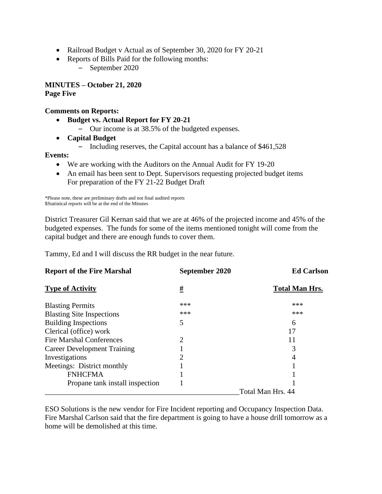- Railroad Budget v Actual as of September 30, 2020 for FY 20-21
- Reports of Bills Paid for the following months:

– September 2020

**MINUTES – October 21, 2020 Page Five**

#### **Comments on Reports:**

- **Budget vs. Actual Report for FY 20-21**
	- Our income is at 38.5% of the budgeted expenses.
- **Capital Budget**
	- Including reserves, the Capital account has a balance of \$461,528

#### **Events:**

- We are working with the Auditors on the Annual Audit for FY 19-20
- An email has been sent to Dept. Supervisors requesting projected budget items For preparation of the FY 21-22 Budget Draft

\*Please note, these are preliminary drafts and not final audited reports \$Statistical reports will be at the end of the Minutes

District Treasurer Gil Kernan said that we are at 46% of the projected income and 45% of the budgeted expenses. The funds for some of the items mentioned tonight will come from the capital budget and there are enough funds to cover them.

Tammy, Ed and I will discuss the RR budget in the near future.

| <b>Report of the Fire Marshal</b>  | September 2020 | <b>Ed Carlson</b>     |
|------------------------------------|----------------|-----------------------|
| <b>Type of Activity</b>            | <u>#</u>       | <b>Total Man Hrs.</b> |
| <b>Blasting Permits</b>            | ***            | ***                   |
| <b>Blasting Site Inspections</b>   | ***            | ***                   |
| <b>Building Inspections</b>        | 5              | 6                     |
| Clerical (office) work             |                |                       |
| <b>Fire Marshal Conferences</b>    | 2              |                       |
| <b>Career Development Training</b> |                |                       |
| Investigations                     | 2              | 4                     |
| Meetings: District monthly         |                |                       |
| <b>FNHCFMA</b>                     |                |                       |
| Propane tank install inspection    |                |                       |
|                                    |                | Total Man Hrs. 44     |

ESO Solutions is the new vendor for Fire Incident reporting and Occupancy Inspection Data. Fire Marshal Carlson said that the fire department is going to have a house drill tomorrow as a home will be demolished at this time.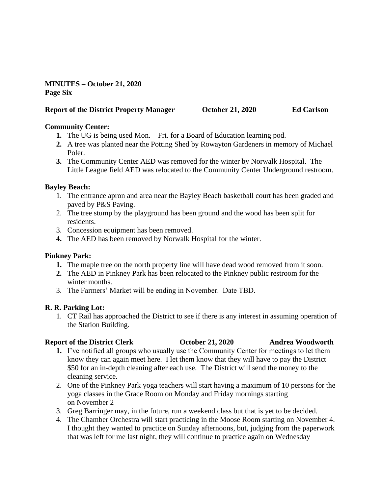**MINUTES – October 21, 2020 Page Six**

#### **Report of the District Property Manager October 21, 2020 Ed Carlson**

# **Community Center:**

- **1.** The UG is being used Mon. Fri. for a Board of Education learning pod.
- **2.** A tree was planted near the Potting Shed by Rowayton Gardeners in memory of Michael Poler.
- **3.** The Community Center AED was removed for the winter by Norwalk Hospital. The Little League field AED was relocated to the Community Center Underground restroom.

# **Bayley Beach:**

- 1. The entrance apron and area near the Bayley Beach basketball court has been graded and paved by P&S Paving.
- 2. The tree stump by the playground has been ground and the wood has been split for residents.
- 3. Concession equipment has been removed.
- **4.** The AED has been removed by Norwalk Hospital for the winter.

# **Pinkney Park:**

- **1.** The maple tree on the north property line will have dead wood removed from it soon.
- **2.** The AED in Pinkney Park has been relocated to the Pinkney public restroom for the winter months.
- 3. The Farmers' Market will be ending in November. Date TBD.

# **R. R. Parking Lot:**

1. CT Rail has approached the District to see if there is any interest in assuming operation of the Station Building.

# **Report of the District Clerk October 21, 2020 Andrea Woodworth**

- **1.** I've notified all groups who usually use the Community Center for meetings to let them know they can again meet here. I let them know that they will have to pay the District \$50 for an in-depth cleaning after each use. The District will send the money to the cleaning service.
- 2. One of the Pinkney Park yoga teachers will start having a maximum of 10 persons for the yoga classes in the Grace Room on Monday and Friday mornings starting on November 2
- 3. Greg Barringer may, in the future, run a weekend class but that is yet to be decided.
- 4. The Chamber Orchestra will start practicing in the Moose Room starting on November 4. I thought they wanted to practice on Sunday afternoons, but, judging from the paperwork that was left for me last night, they will continue to practice again on Wednesday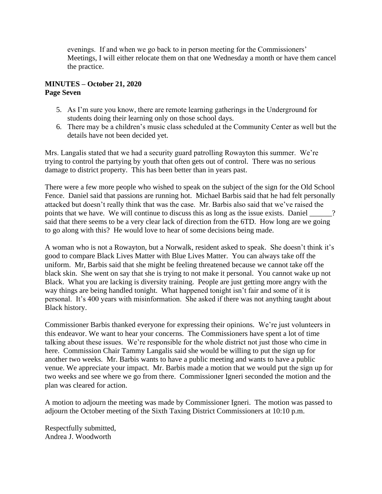evenings. If and when we go back to in person meeting for the Commissioners' Meetings, I will either relocate them on that one Wednesday a month or have them cancel the practice.

### **MINUTES – October 21, 2020 Page Seven**

- 5. As I'm sure you know, there are remote learning gatherings in the Underground for students doing their learning only on those school days.
- 6. There may be a children's music class scheduled at the Community Center as well but the details have not been decided yet.

Mrs. Langalis stated that we had a security guard patrolling Rowayton this summer. We're trying to control the partying by youth that often gets out of control. There was no serious damage to district property. This has been better than in years past.

There were a few more people who wished to speak on the subject of the sign for the Old School Fence. Daniel said that passions are running hot. Michael Barbis said that he had felt personally attacked but doesn't really think that was the case. Mr. Barbis also said that we've raised the points that we have. We will continue to discuss this as long as the issue exists. Daniel \_\_\_\_\_? said that there seems to be a very clear lack of direction from the 6TD. How long are we going to go along with this? He would love to hear of some decisions being made.

A woman who is not a Rowayton, but a Norwalk, resident asked to speak. She doesn't think it's good to compare Black Lives Matter with Blue Lives Matter. You can always take off the uniform. Mr, Barbis said that she might be feeling threatened because we cannot take off the black skin. She went on say that she is trying to not make it personal. You cannot wake up not Black. What you are lacking is diversity training. People are just getting more angry with the way things are being handled tonight. What happened tonight isn't fair and some of it is personal. It's 400 years with misinformation. She asked if there was not anything taught about Black history.

Commissioner Barbis thanked everyone for expressing their opinions. We're just volunteers in this endeavor. We want to hear your concerns. The Commissioners have spent a lot of time talking about these issues. We're responsible for the whole district not just those who cime in here. Commission Chair Tammy Langalis said she would be willing to put the sign up for another two weeks. Mr. Barbis wants to have a public meeting and wants to have a public venue. We appreciate your impact. Mr. Barbis made a motion that we would put the sign up for two weeks and see where we go from there. Commissioner Igneri seconded the motion and the plan was cleared for action.

A motion to adjourn the meeting was made by Commissioner Igneri. The motion was passed to adjourn the October meeting of the Sixth Taxing District Commissioners at 10:10 p.m.

Respectfully submitted, Andrea J. Woodworth